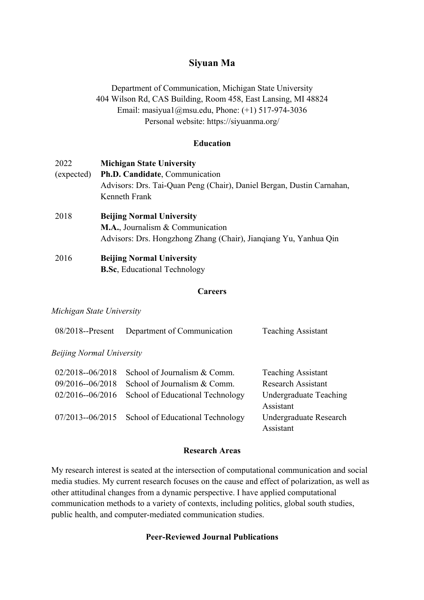# **Siyuan Ma**

Department of Communication, Michigan State University 404 Wilson Rd, CAS Building, Room 458, East Lansing, MI 48824 Email: masiyua1@msu.edu, Phone: (+1) 517-974-3036 Personal website: https://siyuanma.org/

## **Education**

| 2022       | <b>Michigan State University</b>                                      |
|------------|-----------------------------------------------------------------------|
| (expected) | Ph.D. Candidate, Communication                                        |
|            | Advisors: Drs. Tai-Quan Peng (Chair), Daniel Bergan, Dustin Carnahan, |
|            | Kenneth Frank                                                         |
| 2018       | <b>Beijing Normal University</b>                                      |
|            | M.A., Journalism & Communication                                      |
|            | Advisors: Drs. Hongzhong Zhang (Chair), Jianqiang Yu, Yanhua Qin      |
| 2016       | <b>Beijing Normal University</b>                                      |
|            | <b>B.Sc.</b> Educational Technology                                   |

#### **Careers**

#### *Michigan State University*

| $08/2018$ -Present        | Department of Communication      | <b>Teaching Assistant</b>           |
|---------------------------|----------------------------------|-------------------------------------|
| Beijing Normal University |                                  |                                     |
| $02/2018 - 06/2018$       | School of Journalism & Comm.     | <b>Teaching Assistant</b>           |
| 09/2016--06/2018          | School of Journalism & Comm.     | <b>Research Assistant</b>           |
| 02/2016--06/2016          | School of Educational Technology | Undergraduate Teaching<br>Assistant |
| $07/2013 - 06/2015$       | School of Educational Technology | Undergraduate Research<br>Assistant |

### **Research Areas**

My research interest is seated at the intersection of computational communication and social media studies. My current research focuses on the cause and effect of polarization, as well as other attitudinal changes from a dynamic perspective. I have applied computational communication methods to a variety of contexts, including politics, global south studies, public health, and computer-mediated communication studies.

## **Peer-Reviewed Journal Publications**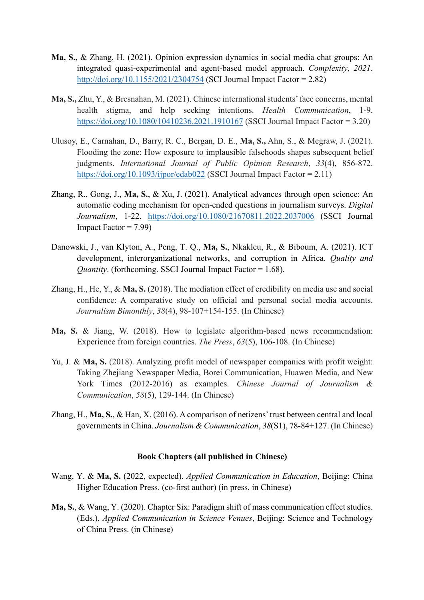- **Ma, S.,** & Zhang, H. (2021). Opinion expression dynamics in social media chat groups: An integrated quasi-experimental and agent-based model approach. *Complexity*, *2021*. http://doi.org/10.1155/2021/2304754 (SCI Journal Impact Factor = 2.82)
- **Ma, S.,** Zhu, Y., & Bresnahan, M. (2021). Chinese international students' face concerns, mental health stigma, and help seeking intentions. *Health Communication*, 1-9. https://doi.org/10.1080/10410236.2021.1910167 (SSCI Journal Impact Factor = 3.20)
- Ulusoy, E., Carnahan, D., Barry, R. C., Bergan, D. E., **Ma, S.,** Ahn, S., & Mcgraw, J. (2021). Flooding the zone: How exposure to implausible falsehoods shapes subsequent belief judgments. *International Journal of Public Opinion Research*, *33*(4), 856-872. https://doi.org/10.1093/ijpor/edab022 (SSCI Journal Impact Factor = 2.11)
- Zhang, R., Gong, J., **Ma, S.**, & Xu, J. (2021). Analytical advances through open science: An automatic coding mechanism for open-ended questions in journalism surveys. *Digital Journalism*, 1-22. https://doi.org/10.1080/21670811.2022.2037006 (SSCI Journal Impact Factor  $= 7.99$ )
- Danowski, J., van Klyton, A., Peng, T. Q., **Ma, S.**, Nkakleu, R., & Biboum, A. (2021). ICT development, interorganizational networks, and corruption in Africa. *Quality and Quantity*. (forthcoming. SSCI Journal Impact Factor = 1.68).
- Zhang, H., He, Y., & **Ma, S.** (2018). The mediation effect of credibility on media use and social confidence: A comparative study on official and personal social media accounts. *Journalism Bimonthly*, *38*(4), 98-107+154-155. (In Chinese)
- **Ma, S.** & Jiang, W. (2018). How to legislate algorithm-based news recommendation: Experience from foreign countries. *The Press*, *63*(5), 106-108. (In Chinese)
- Yu, J. & Ma, S. (2018). Analyzing profit model of newspaper companies with profit weight: Taking Zhejiang Newspaper Media, Borei Communication, Huawen Media, and New York Times (2012-2016) as examples. *Chinese Journal of Journalism & Communication*, *58*(5), 129-144. (In Chinese)
- Zhang, H., **Ma, S.**, & Han, X. (2016). A comparison of netizens'trust between central and local governments in China. *Journalism & Communication*, *38*(S1), 78-84+127. (In Chinese)

## **Book Chapters (all published in Chinese)**

- Wang, Y. & **Ma, S.** (2022, expected). *Applied Communication in Education*, Beijing: China Higher Education Press. (co-first author) (in press, in Chinese)
- **Ma, S.**, & Wang, Y. (2020). Chapter Six: Paradigm shift of mass communication effect studies. (Eds.), *Applied Communication in Science Venues*, Beijing: Science and Technology of China Press. (in Chinese)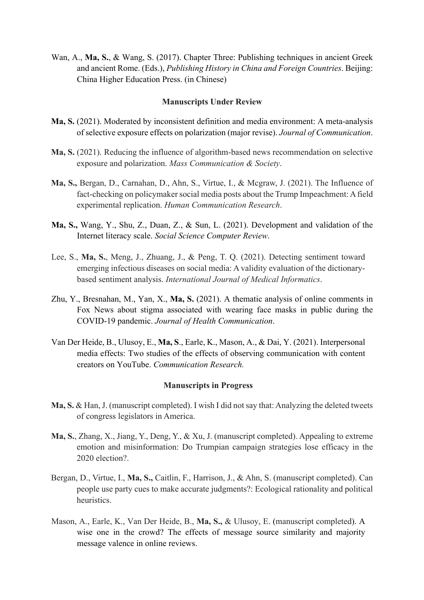Wan, A., **Ma, S.**, & Wang, S. (2017). Chapter Three: Publishing techniques in ancient Greek and ancient Rome. (Eds.), *Publishing History in China and Foreign Countries*. Beijing: China Higher Education Press. (in Chinese)

#### **Manuscripts Under Review**

- **Ma, S.** (2021). Moderated by inconsistent definition and media environment: A meta-analysis of selective exposure effects on polarization (major revise). *Journal of Communication*.
- **Ma, S.** (2021). Reducing the influence of algorithm-based news recommendation on selective exposure and polarization. *Mass Communication & Society*.
- **Ma, S.,** Bergan, D., Carnahan, D., Ahn, S., Virtue, I., & Mcgraw, J. (2021). The Influence of fact-checking on policymaker social media posts about the Trump Impeachment: A field experimental replication. *Human Communication Research*.
- **Ma, S.,** Wang, Y., Shu, Z., Duan, Z., & Sun, L. (2021). Development and validation of the Internet literacy scale. *Social Science Computer Review*.
- Lee, S., **Ma, S.**, Meng, J., Zhuang, J., & Peng, T. Q. (2021). Detecting sentiment toward emerging infectious diseases on social media: A validity evaluation of the dictionarybased sentiment analysis. *International Journal of Medical Informatics*.
- Zhu, Y., Bresnahan, M., Yan, X., **Ma, S.** (2021). A thematic analysis of online comments in Fox News about stigma associated with wearing face masks in public during the COVID-19 pandemic. *Journal of Health Communication*.
- Van Der Heide, B., Ulusoy, E., **Ma, S**., Earle, K., Mason, A., & Dai, Y. (2021). Interpersonal media effects: Two studies of the effects of observing communication with content creators on YouTube. *Communication Research.*

#### **Manuscripts in Progress**

- **Ma, S.** & Han, J. (manuscript completed). I wish I did not say that: Analyzing the deleted tweets of congress legislators in America.
- **Ma, S.**, Zhang, X., Jiang, Y., Deng, Y., & Xu, J. (manuscript completed). Appealing to extreme emotion and misinformation: Do Trumpian campaign strategies lose efficacy in the 2020 election?.
- Bergan, D., Virtue, I., **Ma, S.,** Caitlin, F., Harrison, J., & Ahn, S. (manuscript completed). Can people use party cues to make accurate judgments?: Ecological rationality and political heuristics.
- Mason, A., Earle, K., Van Der Heide, B., **Ma, S.,** & Ulusoy, E. (manuscript completed). A wise one in the crowd? The effects of message source similarity and majority message valence in online reviews.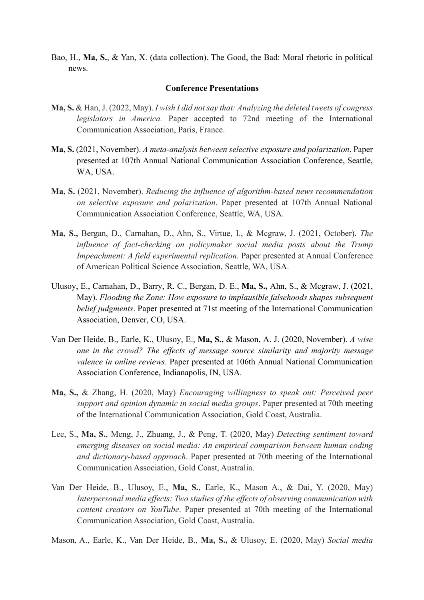Bao, H., **Ma, S.**, & Yan, X. (data collection). The Good, the Bad: Moral rhetoric in political news.

#### **Conference Presentations**

- **Ma, S.** & Han, J. (2022, May). *I wish I did not say that: Analyzing the deleted tweets of congress legislators in America.* Paper accepted to 72nd meeting of the International Communication Association, Paris, France.
- **Ma, S.** (2021, November). *A meta-analysis between selective exposure and polarization*. Paper presented at 107th Annual National Communication Association Conference, Seattle, WA, USA.
- **Ma, S.** (2021, November). *Reducing the influence of algorithm-based news recommendation on selective exposure and polarization*. Paper presented at 107th Annual National Communication Association Conference, Seattle, WA, USA.
- **Ma, S.,** Bergan, D., Carnahan, D., Ahn, S., Virtue, I., & Mcgraw, J. (2021, October). *The influence of fact-checking on policymaker social media posts about the Trump Impeachment: A field experimental replication*. Paper presented at Annual Conference of American Political Science Association, Seattle, WA, USA.
- Ulusoy, E., Carnahan, D., Barry, R. C., Bergan, D. E., **Ma, S.,** Ahn, S., & Mcgraw, J. (2021, May). *Flooding the Zone: How exposure to implausible falsehoods shapes subsequent belief judgments*. Paper presented at 71st meeting of the International Communication Association, Denver, CO, USA.
- Van Der Heide, B., Earle, K., Ulusoy, E., **Ma, S.,** & Mason, A. J. (2020, November). *A wise one in the crowd? The effects of message source similarity and majority message valence in online reviews*. Paper presented at 106th Annual National Communication Association Conference, Indianapolis, IN, USA.
- **Ma, S.,** & Zhang, H. (2020, May) *Encouraging willingness to speak out: Perceived peer support and opinion dynamic in social media groups*. Paper presented at 70th meeting of the International Communication Association, Gold Coast, Australia.
- Lee, S., **Ma, S.**, Meng, J., Zhuang, J., & Peng, T. (2020, May) *Detecting sentiment toward emerging diseases on social media: An empirical comparison between human coding and dictionary-based approach*. Paper presented at 70th meeting of the International Communication Association, Gold Coast, Australia.
- Van Der Heide, B., Ulusoy, E., **Ma, S.**, Earle, K., Mason A., & Dai, Y. (2020, May) *Interpersonal media effects: Two studies of the effects of observing communication with content creators on YouTube*. Paper presented at 70th meeting of the International Communication Association, Gold Coast, Australia.

Mason, A., Earle, K., Van Der Heide, B., **Ma, S.,** & Ulusoy, E. (2020, May) *Social media*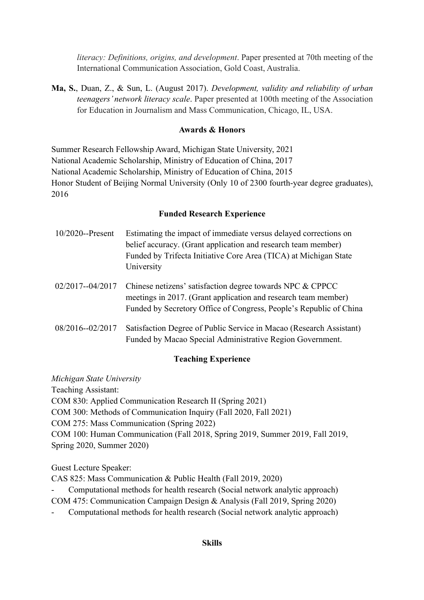*literacy: Definitions, origins, and development*. Paper presented at 70th meeting of the International Communication Association, Gold Coast, Australia.

**Ma, S.**, Duan, Z., & Sun, L. (August 2017). *Development, validity and reliability of urban teenagers' network literacy scale*. Paper presented at 100th meeting of the Association for Education in Journalism and Mass Communication, Chicago, IL, USA.

## **Awards & Honors**

Summer Research Fellowship Award, Michigan State University, 2021 National Academic Scholarship, Ministry of Education of China, 2017 National Academic Scholarship, Ministry of Education of China, 2015 Honor Student of Beijing Normal University (Only 10 of 2300 fourth-year degree graduates), 2016

## **Funded Research Experience**

| $10/2020$ --Present | Estimating the impact of immediate versus delayed corrections on                                                                             |
|---------------------|----------------------------------------------------------------------------------------------------------------------------------------------|
|                     | belief accuracy. (Grant application and research team member)                                                                                |
|                     | Funded by Trifecta Initiative Core Area (TICA) at Michigan State                                                                             |
|                     | University                                                                                                                                   |
|                     | 02/2017--04/2017 Chinese netizens' satisfaction degree towards NPC & CPPCC<br>meetings in 2017. (Grant application and research team member) |

- Funded by Secretory Office of Congress, People's Republic of China 08/2016--02/2017 Satisfaction Degree of Public Service in Macao (Research Assistant)
	- Funded by Macao Special Administrative Region Government.

## **Teaching Experience**

*Michigan State University* Teaching Assistant: COM 830: Applied Communication Research II (Spring 2021) COM 300: Methods of Communication Inquiry (Fall 2020, Fall 2021) COM 275: Mass Communication (Spring 2022) COM 100: Human Communication (Fall 2018, Spring 2019, Summer 2019, Fall 2019, Spring 2020, Summer 2020)

Guest Lecture Speaker:

CAS 825: Mass Communication & Public Health (Fall 2019, 2020)

- Computational methods for health research (Social network analytic approach) COM 475: Communication Campaign Design & Analysis (Fall 2019, Spring 2020)

- Computational methods for health research (Social network analytic approach)